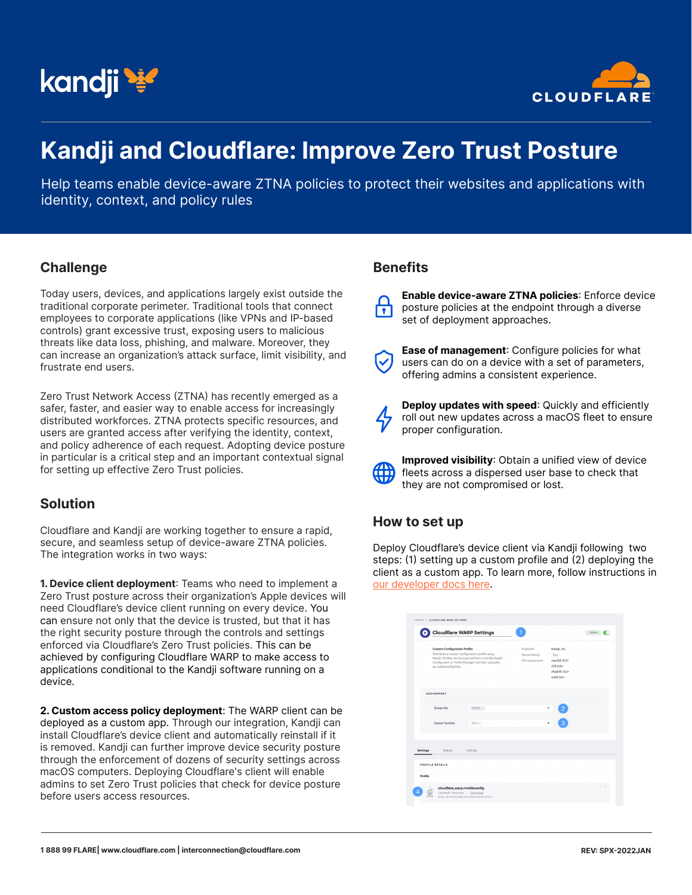



# **Kandji and Cloudflare: Improve Zero Trust Posture**

Help teams enable device-aware ZTNA policies to protect their websites and applications with identity, context, and policy rules

#### **Challenge**

Today users, devices, and applications largely exist outside the traditional corporate perimeter. Traditional tools that connect employees to corporate applications (like VPNs and IP-based controls) grant excessive trust, exposing users to malicious threats like data loss, phishing, and malware. Moreover, they can increase an organization's attack surface, limit visibility, and frustrate end users.

Zero Trust Network Access (ZTNA) has recently emerged as a safer, faster, and easier way to enable access for increasingly distributed workforces. ZTNA protects specific resources, and users are granted access after verifying the identity, context, and policy adherence of each request. Adopting device posture in particular is a critical step and an important contextual signal for setting up effective Zero Trust policies.

## **Solution**

Cloudflare and Kandji are working together to ensure a rapid, secure, and seamless setup of device-aware ZTNA policies. The integration works in two ways:

**1. Device client deployment**: Teams who need to implement a Zero Trust posture across their organization's Apple devices will need Cloudflare's device client running on every device. You can ensure not only that the device is trusted, but that it has the right security posture through the controls and settings enforced via Cloudflare's Zero Trust policies. This can be achieved by configuring Cloudflare WARP to make access to applications conditional to the Kandji software running on a device.

**2. Custom access policy deployment**: The WARP client can be deployed as a custom app. Through our integration, Kandji can install Cloudflare's device client and automatically reinstall if it is removed. Kandji can further improve device security posture through the enforcement of dozens of security settings across macOS computers. Deploying Cloudflare's client will enable admins to set Zero Trust policies that check for device posture before users access resources.

#### **Benefits**

**Enable device-aware ZTNA policies**: Enforce device posture policies at the endpoint through a diverse  $\overline{\mathbf{r}}$ set of deployment approaches.



**Ease of management**: Configure policies for what users can do on a device with a set of parameters, offering admins a consistent experience.



4

**Deploy updates with speed:** Quickly and efficiently roll out new updates across a macOS fleet to ensure proper configuration.

**Improved visibility**: Obtain a unified view of device fleets across a dispersed user base to check that they are not compromised or lost.

#### **How to set up**

Deploy Cloudflare's device client via Kandji following two steps: (1) setting up a custom profile and (2) deploying the client as a custom app. To learn more, follow instructions in [our developer docs here.](https://developers.cloudflare.com/cloudflare-one/connections/connect-devices/warp/deployment/mdm-deployment/partners/kandji)

|                 | <b>Cloudflare WARP Settings</b>                                                                                                                                                                                                  |                                                 |                                                                                | Active |
|-----------------|----------------------------------------------------------------------------------------------------------------------------------------------------------------------------------------------------------------------------------|-------------------------------------------------|--------------------------------------------------------------------------------|--------|
|                 | <b>Custom Configuration Profile</b><br>Distribute a custom configuration profile using<br>Kandji. Profiles can be exported from tools like Apple<br>Configurator or Profile Manager and then uploaded<br>as .mobileconfig files. | Publisher:<br>Device family:<br>OS requirement: | Kandji, Inc.<br>Mac<br>macOS 10.7+<br>$105.40+$<br>iPadOS 13.0+<br>$tvOS 9.0*$ |        |
|                 | <b>ASSIGNMENT</b>                                                                                                                                                                                                                |                                                 |                                                                                |        |
|                 | <b>Blueprints</b><br>testing $\times$                                                                                                                                                                                            |                                                 | ٠<br>$\overline{c}$                                                            |        |
|                 | Device Families<br>Mac x                                                                                                                                                                                                         |                                                 | ٠                                                                              |        |
|                 |                                                                                                                                                                                                                                  |                                                 |                                                                                |        |
| <b>Settings</b> | <b>Status</b><br>Activity.                                                                                                                                                                                                       |                                                 |                                                                                |        |
|                 | PROFILE DETAILS                                                                                                                                                                                                                  |                                                 |                                                                                |        |
| Profile         |                                                                                                                                                                                                                                  |                                                 |                                                                                |        |